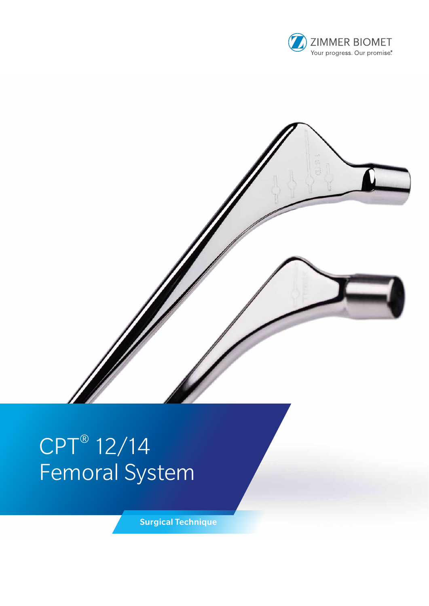



# CPT® 12/14 Femoral System

Surgical Technique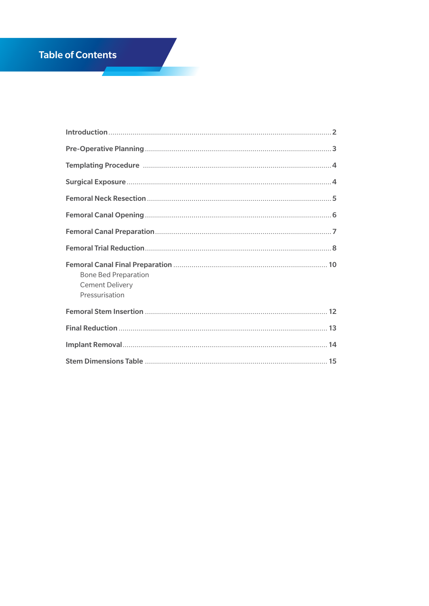## **Table of Contents**

**Contract Service** 

| <b>Bone Bed Preparation</b><br><b>Cement Delivery</b><br>Pressurisation |
|-------------------------------------------------------------------------|
|                                                                         |
|                                                                         |
|                                                                         |
|                                                                         |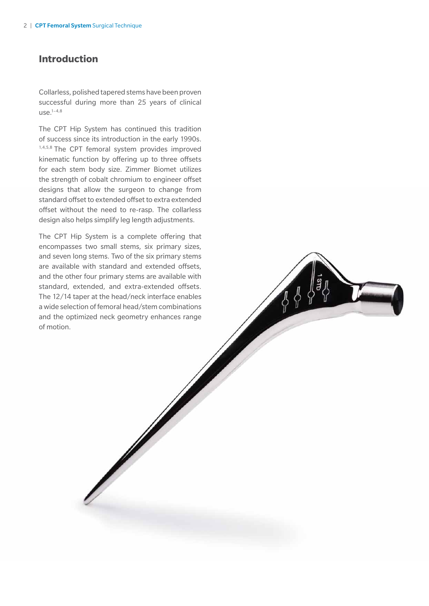#### **Introduction**

Collarless, polished tapered stems have been proven successful during more than 25 years of clinical  $use.<sup>1-4,8</sup>$ 

The CPT Hip System has continued this tradition of success since its introduction in the early 1990s. 1,4,5,8 The CPT femoral system provides improved kinematic function by offering up to three offsets for each stem body size. Zimmer Biomet utilizes the strength of cobalt chromium to engineer offset designs that allow the surgeon to change from standard offset to extended offset to extra extended offset without the need to re-rasp. The collarless design also helps simplify leg length adjustments.

The CPT Hip System is a complete offering that encompasses two small stems, six primary sizes, and seven long stems. Two of the six primary stems are available with standard and extended offsets, and the other four primary stems are available with standard, extended, and extra-extended offsets. The 12/14 taper at the head/neck interface enables a wide selection of femoral head/stem combinations and the optimized neck geometry enhances range of motion.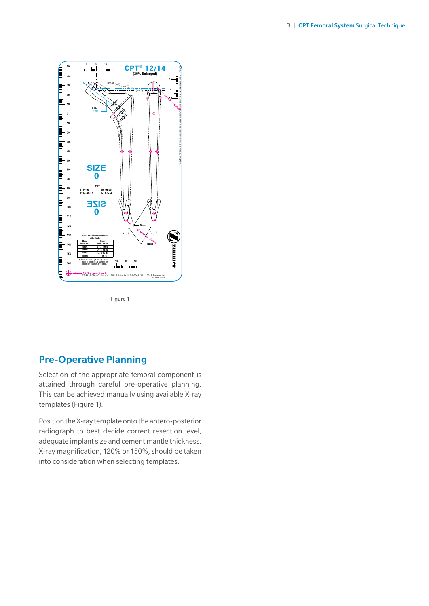

Figure 1

### Pre-Operative Planning

Selection of the appropriate femoral component is attained through careful pre-operative planning. This can be achieved manually using available X-ray templates (Figure 1).

Position the X-ray template onto the antero-posterior radiograph to best decide correct resection level, adequate implant size and cement mantle thickness. X-ray magnification, 120% or 150%, should be taken into consideration when selecting templates.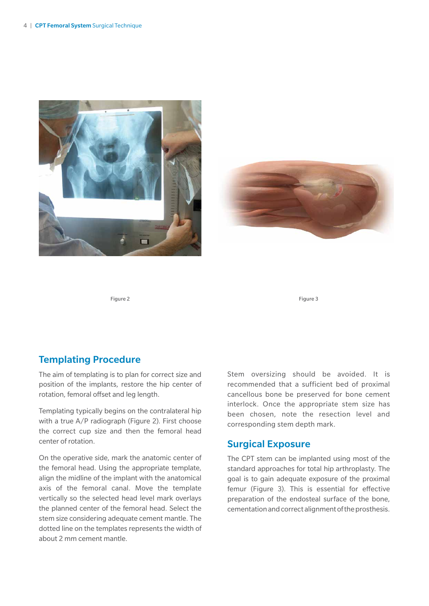



Figure 2 Figure 3

#### Templating Procedure

The aim of templating is to plan for correct size and position of the implants, restore the hip center of rotation, femoral offset and leg length.

Templating typically begins on the contralateral hip with a true A/P radiograph (Figure 2). First choose the correct cup size and then the femoral head center of rotation.

On the operative side, mark the anatomic center of the femoral head. Using the appropriate template, align the midline of the implant with the anatomical axis of the femoral canal. Move the template vertically so the selected head level mark overlays the planned center of the femoral head. Select the stem size considering adequate cement mantle. The dotted line on the templates represents the width of about 2 mm cement mantle.

Stem oversizing should be avoided. It is recommended that a sufficient bed of proximal cancellous bone be preserved for bone cement interlock. Once the appropriate stem size has been chosen, note the resection level and corresponding stem depth mark.

#### Surgical Exposure

The CPT stem can be implanted using most of the standard approaches for total hip arthroplasty. The goal is to gain adequate exposure of the proximal femur (Figure 3). This is essential for effective preparation of the endosteal surface of the bone, cementation and correct alignment of the prosthesis.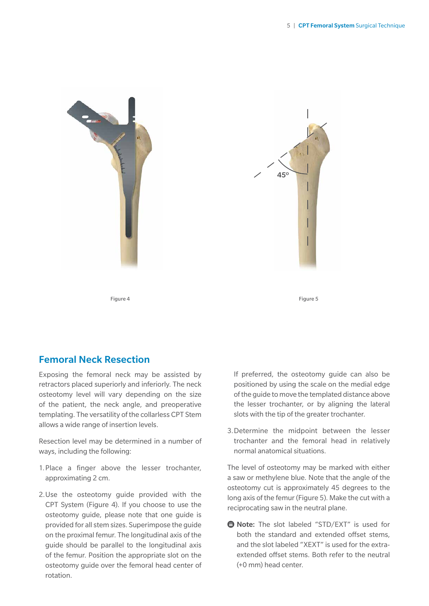

45º

Figure 4 Figure 5

# Femoral Neck Resection

Exposing the femoral neck may be assisted by retractors placed superiorly and inferiorly. The neck osteotomy level will vary depending on the size of the patient, the neck angle, and preoperative templating. The versatility of the collarless CPT Stem allows a wide range of insertion levels.

Resection level may be determined in a number of ways, including the following:

- 1.Place a finger above the lesser trochanter, approximating 2 cm.
- 2.Use the osteotomy guide provided with the CPT System (Figure 4). If you choose to use the osteotomy guide, please note that one guide is provided for all stem sizes. Superimpose the guide on the proximal femur. The longitudinal axis of the guide should be parallel to the longitudinal axis of the femur. Position the appropriate slot on the osteotomy guide over the femoral head center of rotation.

If preferred, the osteotomy guide can also be positioned by using the scale on the medial edge of the guide to move the templated distance above the lesser trochanter, or by aligning the lateral slots with the tip of the greater trochanter.

3.Determine the midpoint between the lesser trochanter and the femoral head in relatively normal anatomical situations.

The level of osteotomy may be marked with either a saw or methylene blue. Note that the angle of the osteotomy cut is approximately 45 degrees to the long axis of the femur (Figure 5). Make the cut with a reciprocating saw in the neutral plane.

**■ Note:** The slot labeled "STD/EXT" is used for both the standard and extended offset stems, and the slot labeled "XEXT" is used for the extraextended offset stems. Both refer to the neutral (+0 mm) head center.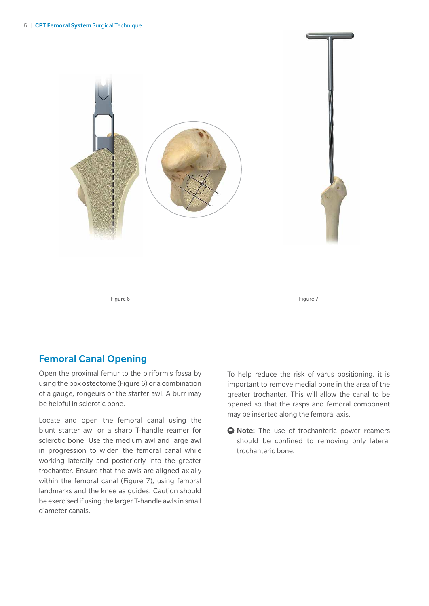

Figure 6 Figure 7

#### Femoral Canal Opening

Open the proximal femur to the piriformis fossa by using the box osteotome (Figure 6) or a combination of a gauge, rongeurs or the starter awl. A burr may be helpful in sclerotic bone.

Locate and open the femoral canal using the blunt starter awl or a sharp T-handle reamer for sclerotic bone. Use the medium awl and large awl in progression to widen the femoral canal while working laterally and posteriorly into the greater trochanter. Ensure that the awls are aligned axially within the femoral canal (Figure 7), using femoral landmarks and the knee as guides. Caution should be exercised if using the larger T-handle awls in small diameter canals.

To help reduce the risk of varus positioning, it is important to remove medial bone in the area of the greater trochanter. This will allow the canal to be opened so that the rasps and femoral component may be inserted along the femoral axis.

 $\bigoplus$  **Note:** The use of trochanteric power reamers should be confined to removing only lateral trochanteric bone.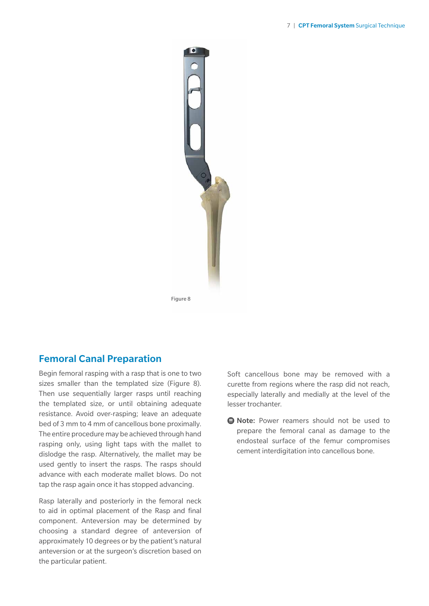

#### Femoral Canal Preparation

Begin femoral rasping with a rasp that is one to two sizes smaller than the templated size (Figure 8). Then use sequentially larger rasps until reaching the templated size, or until obtaining adequate resistance. Avoid over-rasping; leave an adequate bed of 3 mm to 4 mm of cancellous bone proximally. The entire procedure may be achieved through hand rasping only, using light taps with the mallet to dislodge the rasp. Alternatively, the mallet may be used gently to insert the rasps. The rasps should advance with each moderate mallet blows. Do not tap the rasp again once it has stopped advancing.

Rasp laterally and posteriorly in the femoral neck to aid in optimal placement of the Rasp and final component. Anteversion may be determined by choosing a standard degree of anteversion of approximately 10 degrees or by the patient's natural anteversion or at the surgeon's discretion based on the particular patient.

Soft cancellous bone may be removed with a curette from regions where the rasp did not reach, especially laterally and medially at the level of the lesser trochanter.

**e** Note: Power reamers should not be used to prepare the femoral canal as damage to the endosteal surface of the femur compromises cement interdigitation into cancellous bone.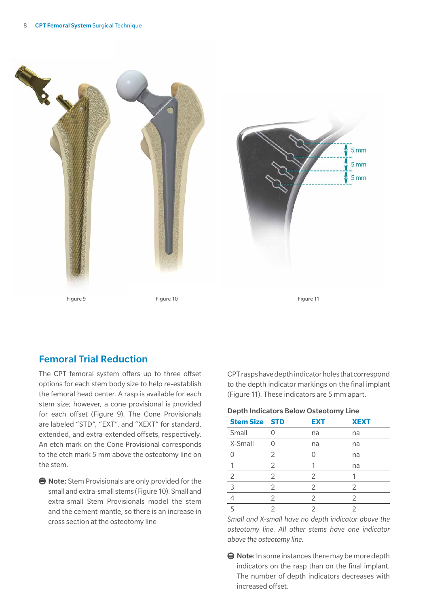



Figure 11

#### Femoral Trial Reduction

The CPT femoral system offers up to three offset options for each stem body size to help re-establish the femoral head center. A rasp is available for each stem size; however, a cone provisional is provided for each offset (Figure 9). The Cone Provisionals are labeled "STD", "EXT", and "XEXT" for standard, extended, and extra-extended offsets, respectively. An etch mark on the Cone Provisional corresponds to the etch mark 5 mm above the osteotomy line on the stem.

 $\bigoplus$  Note: Stem Provisionals are only provided for the small and extra-small stems (Figure 10). Small and extra-small Stem Provisionals model the stem and the cement mantle, so there is an increase in cross section at the osteotomy line

CPT rasps have depth indicator holes that correspond to the depth indicator markings on the final implant (Figure 11). These indicators are 5 mm apart.

#### Depth Indicators Below Osteotomy Line

| <b>Stem Size STD</b> |               | <b>EXT</b>    | <b>XEXT</b>   |
|----------------------|---------------|---------------|---------------|
| Small                |               | na            | na            |
| X-Small              |               | na            | na            |
|                      | $\mathcal{P}$ |               | na            |
|                      | $\mathcal{P}$ |               | na            |
| 2                    | $\mathcal{P}$ | $\mathcal{P}$ |               |
| 3                    | $\mathcal{P}$ | 2             | 2             |
|                      | $\mathcal{P}$ | 2             | $\mathcal{P}$ |
|                      |               |               |               |

*Small and X-small have no depth indicator above the osteotomy line. All other stems have one indicator above the osteotomy line.*

 $\bigoplus$  Note: In some instances there may be more depth indicators on the rasp than on the final implant. The number of depth indicators decreases with increased offset.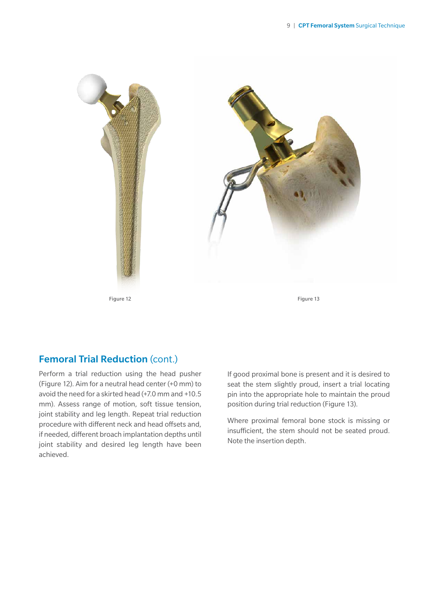

## Femoral Trial Reduction (cont.)

Perform a trial reduction using the head pusher (Figure 12). Aim for a neutral head center (+0 mm) to avoid the need for a skirted head (+7.0 mm and +10.5 mm). Assess range of motion, soft tissue tension, joint stability and leg length. Repeat trial reduction procedure with different neck and head offsets and, if needed, different broach implantation depths until joint stability and desired leg length have been achieved.

If good proximal bone is present and it is desired to seat the stem slightly proud, insert a trial locating pin into the appropriate hole to maintain the proud position during trial reduction (Figure 13).

Where proximal femoral bone stock is missing or insufficient, the stem should not be seated proud. Note the insertion depth.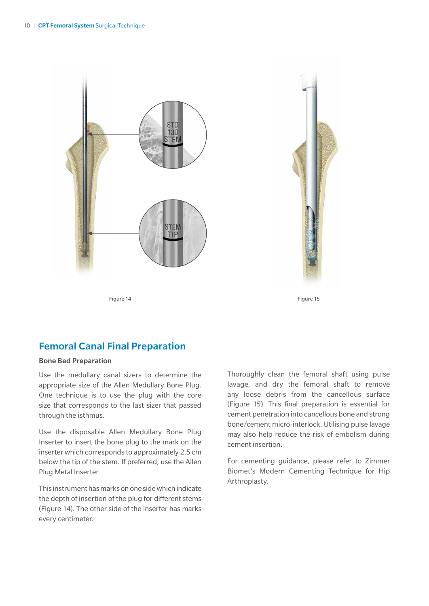



Figure 14 Figure 15

## Femoral Canal Final Preparation

#### Bone Bed Preparation

Use the medullary canal sizers to determine the appropriate size of the Allen Medullary Bone Plug. One technique is to use the plug with the core size that corresponds to the last sizer that passed through the isthmus.

Use the disposable Allen Medullary Bone Plug Inserter to insert the bone plug to the mark on the inserter which corresponds to approximately 2.5 cm below the tip of the stem. If preferred, use the Allen Plug Metal Inserter.

This instrument has marks on one side which indicate the depth of insertion of the plug for different stems (Figure 14). The other side of the inserter has marks every centimeter.

Thoroughly clean the femoral shaft using pulse lavage, and dry the femoral shaft to remove any loose debris from the cancellous surface (Figure 15). This final preparation is essential for cement penetration into cancellous bone and strong bone/cement micro-interlock. Utilising pulse lavage may also help reduce the risk of embolism during cement insertion.

For cementing guidance, please refer to Zimmer Biomet's Modern Cementing Technique for Hip Arthroplasty.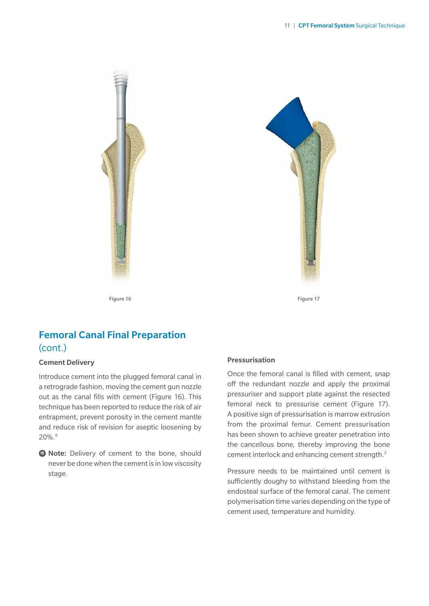



Figure 16 Figure 17

## Femoral Canal Final Preparation (cont.)

#### Cement Delivery

Introduce cement into the plugged femoral canal in a retrograde fashion, moving the cement gun nozzle out as the canal fills with cement (Figure 16). This technique has been reported to reduce the risk of air entrapment, prevent porosity in the cement mantle and reduce risk of revision for aseptic loosening by 20%.9

**e** Note: Delivery of cement to the bone, should never be done when the cement is in low viscosity stage.

#### Pressurisation

Once the femoral canal is filled with cement, snap off the redundant nozzle and apply the proximal pressuriser and support plate against the resected femoral neck to pressurise cement (Figure 17). A positive sign of pressurisation is marrow extrusion from the proximal femur. Cement pressurisation has been shown to achieve greater penetration into the cancellous bone, thereby improving the bone cement interlock and enhancing cement strength.2

Pressure needs to be maintained until cement is sufficiently doughy to withstand bleeding from the endosteal surface of the femoral canal. The cement polymerisation time varies depending on the type of cement used, temperature and humidity.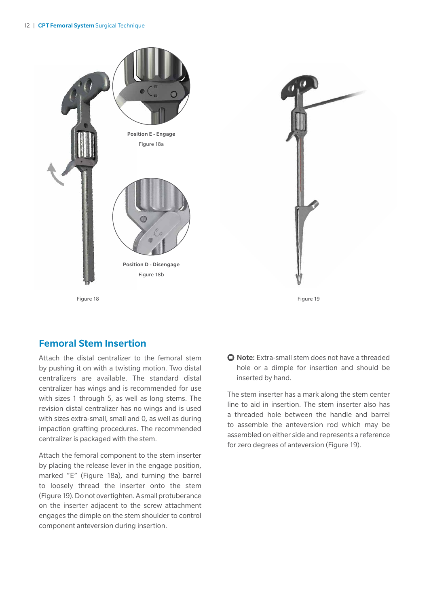



#### Femoral Stem Insertion

Attach the distal centralizer to the femoral stem by pushing it on with a twisting motion. Two distal centralizers are available. The standard distal centralizer has wings and is recommended for use with sizes 1 through 5, as well as long stems. The revision distal centralizer has no wings and is used with sizes extra-small, small and 0, as well as during impaction grafting procedures. The recommended centralizer is packaged with the stem.

Attach the femoral component to the stem inserter by placing the release lever in the engage position, marked "E" (Figure 18a), and turning the barrel to loosely thread the inserter onto the stem (Figure 19). Do not overtighten. A small protuberance on the inserter adjacent to the screw attachment engages the dimple on the stem shoulder to control component anteversion during insertion.

**● Note:** Extra-small stem does not have a threaded hole or a dimple for insertion and should be inserted by hand.

The stem inserter has a mark along the stem center line to aid in insertion. The stem inserter also has a threaded hole between the handle and barrel to assemble the anteversion rod which may be assembled on either side and represents a reference for zero degrees of anteversion (Figure 19).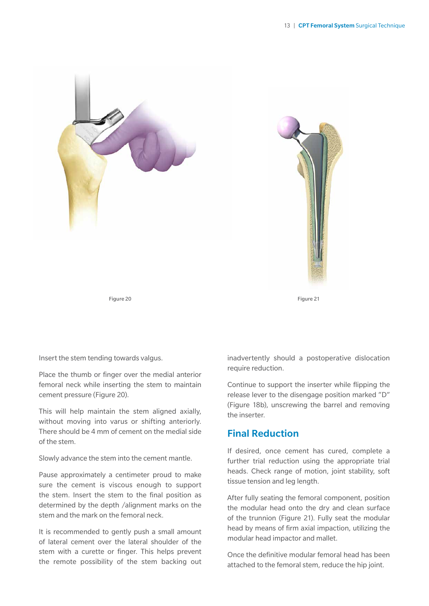



Insert the stem tending towards valgus.

Place the thumb or finger over the medial anterior femoral neck while inserting the stem to maintain cement pressure (Figure 20).

This will help maintain the stem aligned axially, without moving into varus or shifting anteriorly. There should be 4 mm of cement on the medial side of the stem.

Slowly advance the stem into the cement mantle.

Pause approximately a centimeter proud to make sure the cement is viscous enough to support the stem. Insert the stem to the final position as determined by the depth /alignment marks on the stem and the mark on the femoral neck.

It is recommended to gently push a small amount of lateral cement over the lateral shoulder of the stem with a curette or finger. This helps prevent the remote possibility of the stem backing out

inadvertently should a postoperative dislocation require reduction.

Continue to support the inserter while flipping the release lever to the disengage position marked "D" (Figure 18b), unscrewing the barrel and removing the inserter.

#### Final Reduction

If desired, once cement has cured, complete a further trial reduction using the appropriate trial heads. Check range of motion, joint stability, soft tissue tension and leg length.

After fully seating the femoral component, position the modular head onto the dry and clean surface of the trunnion (Figure 21). Fully seat the modular head by means of firm axial impaction, utilizing the modular head impactor and mallet.

Once the definitive modular femoral head has been attached to the femoral stem, reduce the hip joint.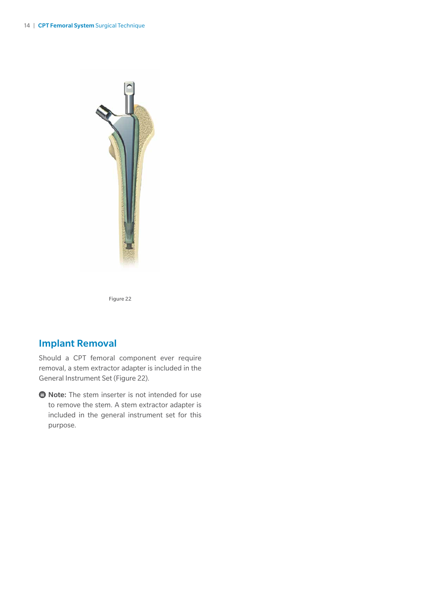

Figure 22

## Implant Removal

Should a CPT femoral component ever require removal, a stem extractor adapter is included in the General Instrument Set (Figure 22).

**● Note:** The stem inserter is not intended for use to remove the stem. A stem extractor adapter is included in the general instrument set for this purpose.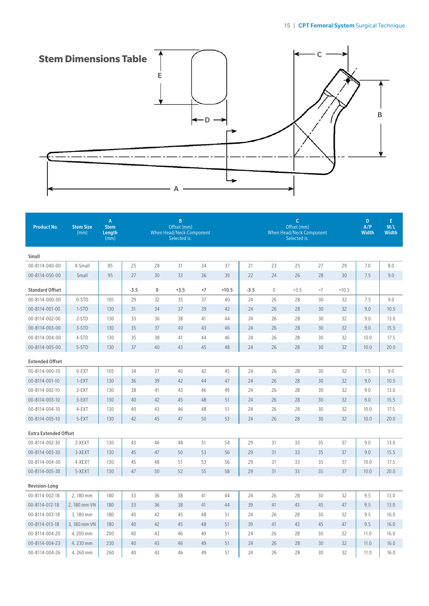

| <b>Product No.</b>           | <b>Stem Size</b><br>(mm) | $\mathbf{A}$<br><b>Stem</b><br>Length<br>(mm) | $\mathsf B$<br>$\mathsf{C}$<br>Offset (mm)<br>Offset (mm)<br><b>When Head/Neck Component</b><br><b>When Head/Neck Component</b><br>Selected is:<br>Selected is: |           |        |      |         |        |                  |        | D<br>A/P<br><b>Width</b> | E<br>M/L<br><b>Width</b> |      |      |
|------------------------------|--------------------------|-----------------------------------------------|-----------------------------------------------------------------------------------------------------------------------------------------------------------------|-----------|--------|------|---------|--------|------------------|--------|--------------------------|--------------------------|------|------|
| Small                        |                          |                                               |                                                                                                                                                                 |           |        |      |         |        |                  |        |                          |                          |      |      |
| 00-8114-040-00               | X-Small                  | 85                                            | 25                                                                                                                                                              | 28        | 31     | 34   | 37      | 21     | 23               | 25     | 27                       | 29                       | 7.0  | 8.0  |
| 00-8114-050-00               | Small                    | 95                                            | 27                                                                                                                                                              | 30        | 33     | 36   | 39      | 22     | 24               | 26     | 28                       | 30                       | 7.5  | 9.0  |
| <b>Standard Offset</b>       |                          |                                               | $-3.5$                                                                                                                                                          | $\pmb{0}$ | $+3.5$ | $+7$ | $+10.5$ | $-3.5$ | $\boldsymbol{0}$ | $+3.5$ | $+7$                     | $+10.5$                  |      |      |
| 00-8114-000-00               | 0-STD                    | 105                                           | 29                                                                                                                                                              | 32        | 35     | 37   | 40      | 24     | 26               | 28     | 30                       | 32                       | 7.5  | 9.0  |
| 00-8114-001-00               | 1-STD                    | 130                                           | 31                                                                                                                                                              | 34        | 37     | 39   | 42      | 24     | 26               | 28     | 30                       | 32                       | 9.0  | 10.5 |
| 00-8114-002-00               | 2-STD                    | 130                                           | 33                                                                                                                                                              | 36        | 38     | 41   | 44      | 24     | 26               | 28     | 30                       | 32                       | 9.0  | 13.0 |
| 00-8114-003-00               | 3-STD                    | 130                                           | 35                                                                                                                                                              | 37        | 40     | 43   | 46      | 24     | 26               | 28     | 30                       | 32                       | 9.0  | 15.5 |
| 00-8114-004-00               | 4-STD                    | 130                                           | 35                                                                                                                                                              | 38        | 41     | 44   | 46      | 24     | 26               | 28     | 30                       | 32                       | 10.0 | 17.5 |
| 00-8114-005-00               | 5-STD                    | 130                                           | 37                                                                                                                                                              | 40        | 43     | 45   | 48      | 24     | 26               | 28     | 30                       | 32                       | 10.0 | 20.0 |
| <b>Extended Offset</b>       |                          |                                               |                                                                                                                                                                 |           |        |      |         |        |                  |        |                          |                          |      |      |
| 00-8114-000-10               | 0-EXT                    | 105                                           | 34                                                                                                                                                              | 37        | 40     | 42   | 45      | 24     | 26               | 28     | 30                       | 32                       | 7.5  | 9.0  |
| 00-8114-001-10               | $1-EXT$                  | 130                                           | 36                                                                                                                                                              | 39        | 42     | 44   | 47      | 24     | 26               | 28     | 30                       | 32                       | 9.0  | 10.5 |
| 00-8114-002-10               | 2-EXT                    | 130                                           | 38                                                                                                                                                              | 41        | 43     | 46   | 49      | 24     | 26               | 28     | 30                       | 32                       | 9.0  | 13.0 |
| 00-8114-003-10               | 3-EXT                    | 130                                           | 40                                                                                                                                                              | 42        | 45     | 48   | 51      | 24     | 26               | 28     | 30                       | 32                       | 9.0  | 15.5 |
| 00-8114-004-10               | 4-EXT                    | 130                                           | 40                                                                                                                                                              | 43        | 46     | 48   | 51      | 24     | 26               | 28     | 30                       | 32                       | 10.0 | 17.5 |
| 00-8114-005-10               | 5-EXT                    | 130                                           | 42                                                                                                                                                              | 45        | 47     | 50   | 53      | 24     | 26               | 28     | 30                       | 32                       | 10.0 | 20.0 |
| <b>Extra Extended Offset</b> |                          |                                               |                                                                                                                                                                 |           |        |      |         |        |                  |        |                          |                          |      |      |
| 00-8114-002-30               | 2-XEXT                   | 130                                           | 43                                                                                                                                                              | 46        | 48     | 51   | 54      | 29     | 31               | 33     | 35                       | 37                       | 9.0  | 13.0 |
| 00-8114-003-30               | 3-XEXT                   | 130                                           | 45                                                                                                                                                              | 47        | 50     | 53   | 56      | 29     | 31               | 33     | 35                       | 37                       | 9.0  | 15.5 |
| 00-8114-004-30               | 4-XEXT                   | 130                                           | 45                                                                                                                                                              | 48        | 51     | 53   | 56      | 29     | 31               | 33     | 35                       | 37                       | 10.0 | 17.5 |
| 00-8114-005-30               | 5-XEXT                   | 130                                           | 47                                                                                                                                                              | 50        | 52     | 55   | 58      | 29     | 31               | 33     | 35                       | 37                       | 10.0 | 20.0 |
| <b>Revision-Long</b>         |                          |                                               |                                                                                                                                                                 |           |        |      |         |        |                  |        |                          |                          |      |      |
| 00-8114-002-18               | 2,180 mm                 | 180                                           | 33                                                                                                                                                              | 36        | 38     | 41   | 44      | 24     | 26               | 28     | 30                       | 32                       | 9.5  | 13.0 |
| 00-8114-012-18               | 2,180 mm VN              | 180                                           | 33                                                                                                                                                              | 36        | 38     | 41   | 44      | 39     | 41               | 43     | 45                       | 47                       | 9.5  | 13.0 |
| 00-8114-003-18               | 3,180 mm                 | 180                                           | 40                                                                                                                                                              | 42        | 45     | 48   | 51      | 24     | 26               | 28     | 30                       | 32                       | 9.5  | 16.0 |
| 00-8114-013-18               | 3, 180 mm VN             | 180                                           | 40                                                                                                                                                              | 42        | 45     | 48   | 51      | 39     | 41               | 43     | 45                       | 47                       | 9.5  | 16.0 |
| 00-8114-004-20               | 4,200 mm                 | 200                                           | 40                                                                                                                                                              | 43        | 46     | 49   | 51      | 24     | 26               | 28     | 30                       | 32                       | 11.0 | 16.0 |
| 00-8114-004-23               | 4,230 mm                 | 230                                           | 40                                                                                                                                                              | 43        | 46     | 49   | 51      | 24     | 26               | 28     | 30                       | 32                       | 11.0 | 16.0 |
| 00-8114-004-26               | 4,260 mm                 | 260                                           | 40                                                                                                                                                              | 43        | 46     | 49   | 51      | 24     | 26               | 28     | 30                       | 32                       | 11.0 | 16.0 |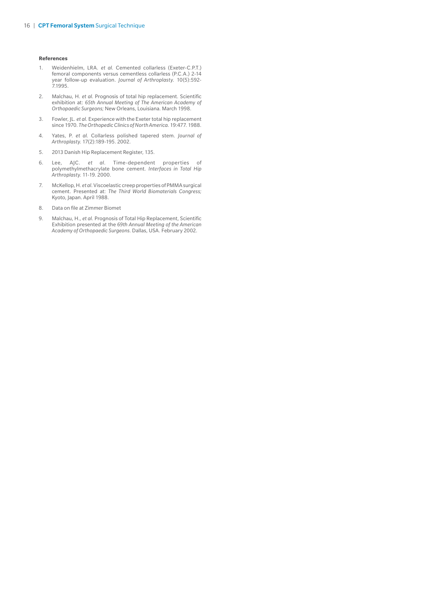#### **References**

- 1. Weidenhielm, LRA. *et al*. Cemented collarless (Exeter-C.P.T.) femoral components versus cementless collarless (P.C.A.) 2-14 year follow-up evaluation. *Journal of Arthroplasty*. 10(5):592- 7.1995.
- 2. Malchau, H. *et al*. Prognosis of total hip replacement. Scientific exhibition at: *65th Annual Meeting of The American Academy of Orthopaedic Surgeons;* New Orleans, Louisiana. March 1998.
- 3. Fowler, JL. *et al*. Experience with the Exeter total hip replacement since 1970. *The Orthopedic Clinics of North America*. 19:477. 1988.
- 4. Yates, P. *et al*. Collarless polished tapered stem. *Journal of Arthroplasty*. 17(2):189-195. 2002.
- 5. 2013 Danish Hip Replacement Register, 135.
- 6. Lee, AJC. *et al*. Time-dependent properties of polymethylmethacrylate bone cement. *Interfaces in Total Hip Arthroplasty*. 11-19. 2000.
- 7. McKellop, H. *et al*. Viscoelastic creep properties of PMMA surgical cement. Presented at: *The Third World Biomaterials Congress;* Kyoto, Japan. April 1988.
- 8. Data on file at Zimmer Biomet
- 9. Malchau, H., *et al*. Prognosis of Total Hip Replacement, Scientific Exhibition presented at the *69th Annual Meeting of the American Academy of Orthopaedic Surgeons.* Dallas, USA. February 2002.